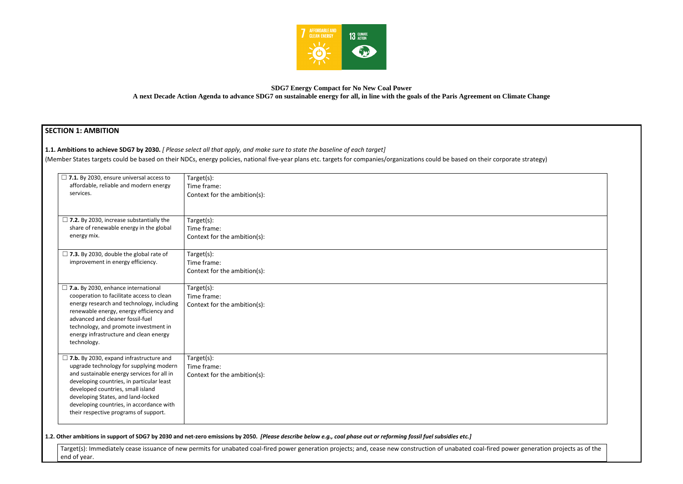

# **SDG7 Energy Compact for No New Coal Power**

**A next Decade Action Agenda to advance SDG7 on sustainable energy for all, in line with the goals of the Paris Agreement on Climate Change**

# **SECTION 1: AMBITION**

**1.1. Ambitions to achieve SDG7 by 2030.** *[ Please select all that apply, and make sure to state the baseline of each target]* 

(Member States targets could be based on their NDCs, energy policies, national five-year plans etc. targets for companies/organizations could be based on their corporate

Target(s): Immediately cease issuance of new permits for unabated coal-fired power generation projects; and, cease new construction of unabated coal-fired power end of year.

| e strategy)                     |  |
|---------------------------------|--|
|                                 |  |
|                                 |  |
|                                 |  |
|                                 |  |
|                                 |  |
|                                 |  |
|                                 |  |
|                                 |  |
|                                 |  |
|                                 |  |
|                                 |  |
|                                 |  |
| r generation projects as of the |  |

| $\Box$ 7.1. By 2030, ensure universal access to<br>affordable, reliable and modern energy<br>services.                                                                                                                                                                                                                                               | Target(s):<br>Time frame:<br>Context for the ambition(s): |
|------------------------------------------------------------------------------------------------------------------------------------------------------------------------------------------------------------------------------------------------------------------------------------------------------------------------------------------------------|-----------------------------------------------------------|
| $\Box$ 7.2. By 2030, increase substantially the<br>share of renewable energy in the global<br>energy mix.                                                                                                                                                                                                                                            | Target(s):<br>Time frame:<br>Context for the ambition(s): |
| $\Box$ 7.3. By 2030, double the global rate of<br>improvement in energy efficiency.                                                                                                                                                                                                                                                                  | Target(s):<br>Time frame:<br>Context for the ambition(s): |
| $\Box$ 7.a. By 2030, enhance international<br>cooperation to facilitate access to clean<br>energy research and technology, including<br>renewable energy, energy efficiency and<br>advanced and cleaner fossil-fuel<br>technology, and promote investment in<br>energy infrastructure and clean energy<br>technology.                                | Target(s):<br>Time frame:<br>Context for the ambition(s): |
| $\Box$ 7.b. By 2030, expand infrastructure and<br>upgrade technology for supplying modern<br>and sustainable energy services for all in<br>developing countries, in particular least<br>developed countries, small island<br>developing States, and land-locked<br>developing countries, in accordance with<br>their respective programs of support. | Target(s):<br>Time frame:<br>Context for the ambition(s): |

**1.2. Other ambitions in support of SDG7 by 2030 and net-zero emissions by 2050.** *[Please describe below e.g., coal phase out or reforming fossil fuel subsidies etc.]*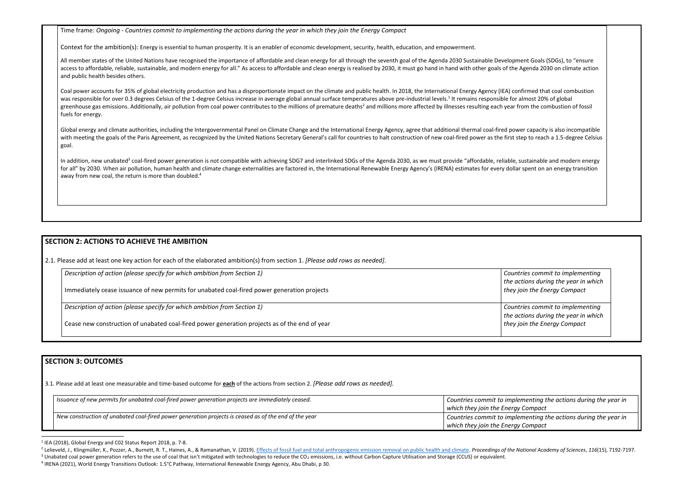Time frame: *Ongoing - Countries commit to implementing the actions during the year in which they join the Energy Compact*

Context for the ambition(s): Energy is essential to human prosperity. It is an enabler of economic development, security, health, education, and empowerment.

All member states of the United Nations have recognised the importance of affordable and clean energy for all through the seventh goal of the Agenda 2030 Sustainable Developi access to affordable, reliable, sustainable, and modern energy for all." As access to affordable and clean energy is realised by 2030, it must go hand in hand with other goals of the and public health besides others.

Coal power accounts for 35% of global electricity production and has a disproportionate impact on the climate and public health. In 2018, the International Energy Agency (IEA) coal power accounts for 35% of global electric was responsible for over 0.3 degrees Celsius of the 1-degree Celsius increase in average global annual surface temperatures above pre-industrial levels.<sup>1</sup> It remains responsible for almost 20% of global greenhouse gas emissions. Additionally, air pollution from coal power contributes to the millions of premature deaths<sup>2</sup> and millions more affected by illnesses resulting each year fuels for energy.

Global energy and climate authorities, including the Intergovernmental Panel on Climate Change and the International Energy Agency, agree that additional thermal coal-fired power capacity is also the incompatible incompara with meeting the goals of the Paris Agreement, as recognized by the United Nations Secretary General's call for countries to halt construction of new coal-fired power as the first goal.

In addition, new unabated<sup>3</sup> coal-fired power generation is not compatible with achieving SDG7 and interlinked SDGs of the Agenda 2030, as we must provide "affordable, reliable, sustainable and modern energy for all" by 2030. When air pollution, human health and climate change externalities are factored in, the International Renewable Energy Agency's (IRENA) estimates for every dolla away from new coal, the return is more than doubled.<sup>4</sup>

> *Countries commit to implementing the actions during the year in which join the Energy Compact*

*Countries commit to implementing the actions during the year in which join the Energy Compact* 

# **SECTION 2: ACTIONS TO ACHIEVE THE AMBITION**

2.1. Please add at least one key action for each of the elaborated ambition(s) from section 1. *[Please add rows as needed].*

| Description of action (please specify for which ambition from Section 1)                      | Coun  |
|-----------------------------------------------------------------------------------------------|-------|
|                                                                                               | the a |
| Immediately cease issuance of new permits for unabated coal-fired power generation projects   | they  |
|                                                                                               |       |
| Description of action (please specify for which ambition from Section 1)                      | Coun  |
|                                                                                               | the a |
| Cease new construction of unabated coal-fired power generation projects as of the end of year | they  |
|                                                                                               |       |

# **SECTION 3: OUTCOMES**

3.1*.* Please add at least one measurable and time-based outcome for **each** of the actions from section 2. *[Please add rows as needed].*

| Issuance of new permits for unabated coal-fired power generation projects are immediately ceased.     | Countries commit to impl  |
|-------------------------------------------------------------------------------------------------------|---------------------------|
|                                                                                                       | which they join the Energ |
| New construction of unabated coal-fired power generation projects is ceased as of the end of the year | Countries commit to impl  |
|                                                                                                       | which they join the Energ |

<sup>&</sup>lt;sup>1</sup> IEA (2018), Global Energy and C02 Status Report 2018, p. 7-8.

*Issuance of new permits for unabated coal-fired power generation projects are immediately ceased. Countries commit to implementing the actions during the year in which they join the Energy Compact New construction of unabated coal-fired power generation projects is ceased as of the end of the year Countries commit to implementing the actions during the year in which they join the Energy Compact*

| ment Goals (SDGs), to "ensure<br>e Agenda 2030 on climate action                       |  |
|----------------------------------------------------------------------------------------|--|
| onfirmed that coal combustion<br>almost 20% of global<br>from the combustion of fossil |  |
| wer capacity is also incompatible<br>step to reach a 1.5-degree Celsius                |  |
| , sustainable and modern energy<br>ar spent on an energy transition                    |  |
|                                                                                        |  |
|                                                                                        |  |

<sup>&</sup>lt;sup>2</sup> Lelieveld, J., Klingmüller, K., Pozzer, A., Burnett, R. T., Haines, A., & Ramanathan, V. (2019). [Effects of fossil fuel and total anthropogenic emission removal on public health and climate.](https://www.pnas.org/content/116/15/7192/) Proceedings of the National <sup>3</sup> Unabated coal power generation refers to the use of coal that isn't mitigated with technologies to reduce the CO<sub>2</sub> emissions, i.e. without Carbon Capture Utilisation and Storage (CCUS) or equivalent.

<sup>4</sup> IRENA (2021), World Energy Transitions Outlook: 1.5°C Pathway, International Renewable Energy Agency, Abu Dhabi, p 30.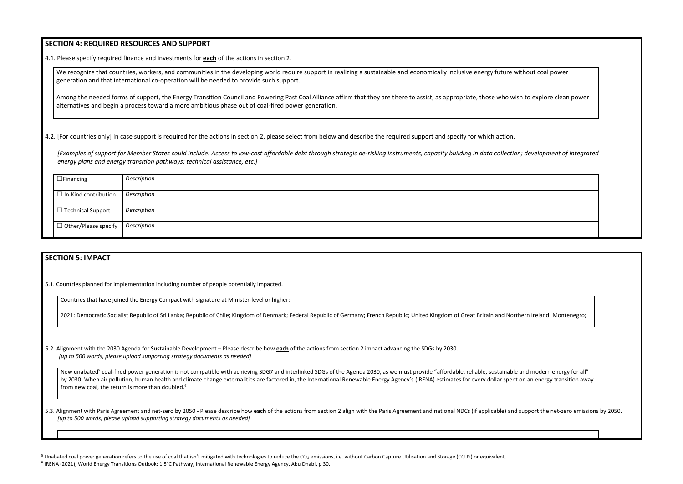### **SECTION 4: REQUIRED RESOURCES AND SUPPORT**

4.1. Please specify required finance and investments for **each** of the actions in section 2.

We recognize that countries, workers, and communities in the developing world require support in realizing a sustainable and economically inclusive energy future without coal power generation and that international co-operation will be needed to provide such support.

Among the needed forms of support, the Energy Transition Council and Powering Past Coal Alliance affirm that they are there to assist, as appropriate, those who wish to explore clean power alternatives and begin a process toward a more ambitious phase out of coal-fired power generation.

4.2. [For countries only] In case support is required for the actions in section 2, please select from below and describe the required support and specify for which action.

*[Examples of support for Member States could include: Access to low-cost affordable debt through strategic de-risking instruments, capacity building in data collection; development of integrated energy plans and energy transition pathways; technical assistance, etc.]*

| $\Box$ Financing            | Description |
|-----------------------------|-------------|
|                             |             |
| $\Box$ In-Kind contribution | Description |
| $\Box$ Technical Support    | Description |
|                             |             |
| $\Box$ Other/Please specify | Description |
|                             |             |

# **SECTION 5: IMPACT**

5.3. Alignment with Paris Agreement and net-zero by 2050 - Please describe how each of the actions from section 2 align with the Paris Agreement and national NDCs (if applicable) and support the net-zero emissions by 2050. *[up to 500 words, please upload supporting strategy documents as needed]* 

5.1. Countries planned for implementation including number of people potentially impacted.

Countries that have joined the Energy Compact with signature at Minister-level or higher:

2021: Democratic Socialist Republic of Sri Lanka; Republic of Chile; Kingdom of Denmark; Federal Republic of Germany; French Republic; United Kingdom of Great Britain and Northern Ireland; Montenegro;





5.2. Alignment with the 2030 Agenda for Sustainable Development – Please describe how **each** of the actions from section 2 impact advancing the SDGs by 2030. *[up to 500 words, please upload supporting strategy documents as needed]* 

New unabated<sup>5</sup> coal-fired power generation is not compatible with achieving SDG7 and interlinked SDGs of the Agenda 2030, as we must provide "affordable, reliable, sustainable and modern energy for all" by 2030. When air pollution, human health and climate change externalities are factored in, the International Renewable Energy Agency's (IRENA) estimates for every dollar spent on an energy transition away from new coal, the return is more than doubled.<sup>6</sup>

<sup>&</sup>lt;sup>5</sup> Unabated coal power generation refers to the use of coal that isn't mitigated with technologies to reduce the CO<sub>2</sub> emissions, i.e. without Carbon Capture Utilisation and Storage (CCUS) or equivalent. 6 IRENA (2021), World Energy Transitions Outlook: 1.5°C Pathway, International Renewable Energy Agency, Abu Dhabi, p 30.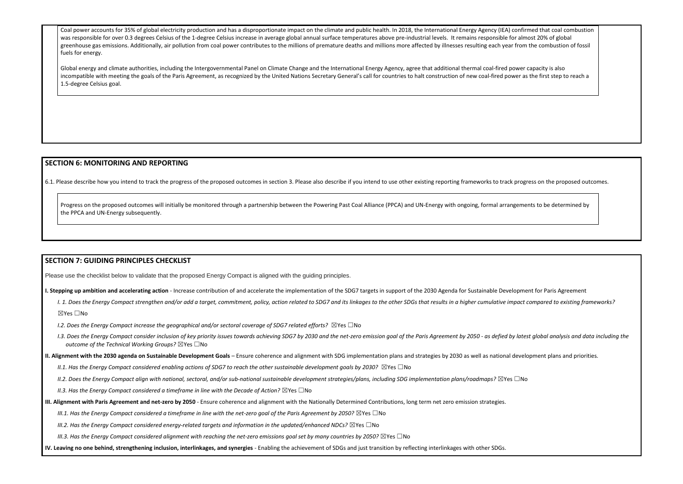Coal power accounts for 35% of global electricity production and has a disproportionate impact on the climate and public health. In 2018, the International Energy Agency (IEA) confirmed that coal combustion was responsible for over 0.3 degrees Celsius of the 1-degree Celsius increase in average global annual surface temperatures above pre-industrial levels. It remains responsible for almost 20% of global greenhouse gas emissions. Additionally, air pollution from coal power contributes to the millions of premature deaths and millions more affected by illnesses resulting each year from the combustion of fossil fuels for energy.

Global energy and climate authorities, including the Intergovernmental Panel on Climate Change and the International Energy Agency, agree that additional thermal coal-fired power capacity is also incompatible with meeting the goals of the Paris Agreement, as recognized by the United Nations Secretary General's call for countries to halt construction of new coal-fired power as the first step to reach a 1.5-degree Celsius goal.

## **SECTION 6: MONITORING AND REPORTING**

6.1. Please describe how you intend to track the progress of the proposed outcomes in section 3. Please also describe if you intend to use other existing reporting frameworks to track progress on the proposed outcomes.

1.3. Does the Energy Compact consider inclusion of key priority issues towards achieving SDG7 by 2030 and the net-zero emission goal of the Paris Agreement by 2050 - as defied by latest global analysis and data including t *outcome of the Technical Working Groups?* ☒Yes ☐No

Progress on the proposed outcomes will initially be monitored through a partnership between the Powering Past Coal Alliance (PPCA) and UN-Energy with ongoing, formal arrangements to be determined by the PPCA and UN-Energy subsequently.

## **SECTION 7: GUIDING PRINCIPLES CHECKLIST**

Please use the checklist below to validate that the proposed Energy Compact is aligned with the guiding principles.

**I. Stepping up ambition and accelerating action** - Increase contribution of and accelerate the implementation of the SDG7 targets in support of the 2030 Agenda for Sustainable Development for Paris Agreement

I. 1. Does the Energy Compact strengthen and/or add a target, commitment, policy, action related to SDG7 and its linkages to the other SDGs that results in a higher cumulative impact compared to existing frameworks?

☒Yes ☐No

*I.2. Does the Energy Compact increase the geographical and/or sectoral coverage of SDG7 related efforts?* ⊠Yes □No

**II. Alignment with the 2030 agenda on Sustainable Development Goals** – Ensure coherence and alignment with SDG implementation plans and strategies by 2030 as well as national development plans and priorities.

*II.1. Has the Energy Compact considered enabling actions of SDG7 to reach the other sustainable development goals by 2030?* ⊠Yes □No

*II.2. Does the Energy Compact align with national, sectoral, and/or sub-national sustainable development strategies/plans, including SDG implementation plans/roadmaps?* ☒Yes ☐No

*II.3. Has the Energy Compact considered a timeframe in line with the Decade of Action?* ⊠Yes □No

**III. Alignment with Paris Agreement and net-zero by 2050** - Ensure coherence and alignment with the Nationally Determined Contributions, long term net zero emission strategies.

*III.1. Has the Energy Compact considered a timeframe in line with the net-zero goal of the Paris Agreement by 2050?* ⊠Yes □No

*III.2. Has the Energy Compact considered energy-related targets and information in the updated/enhanced NDCs?* ⊠Yes □No

*III.3. Has the Energy Compact considered alignment with reaching the net-zero emissions goal set by many countries by 2050?* ⊠Yes □No

**IV. Leaving no one behind, strengthening inclusion, interlinkages, and synergies** - Enabling the achievement of SDGs and just transition by reflecting interlinkages with other SDGs.